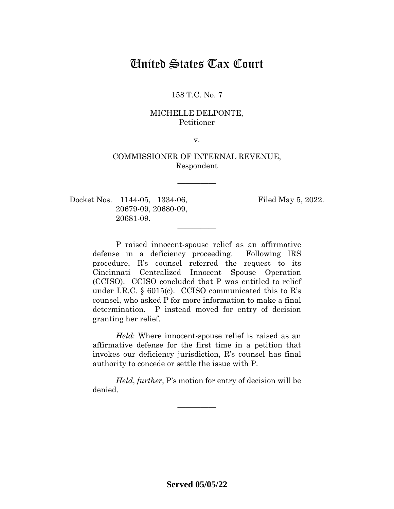# United States Tax Court

## 158 T.C. No. 7

## MICHELLE DELPONTE, Petitioner

v.

# COMMISSIONER OF INTERNAL REVENUE, Respondent

—————

—————

Docket Nos. 1144-05, 1334-06, Filed May 5, 2022. 20679-09, 20680-09, 20681-09.

P raised innocent-spouse relief as an affirmative defense in a deficiency proceeding. Following IRS procedure, R's counsel referred the request to its Cincinnati Centralized Innocent Spouse Operation (CCISO). CCISO concluded that P was entitled to relief under I.R.C. § 6015(c). CCISO communicated this to R's counsel, who asked P for more information to make a final determination. P instead moved for entry of decision granting her relief.

*Held*: Where innocent-spouse relief is raised as an affirmative defense for the first time in a petition that invokes our deficiency jurisdiction, R's counsel has final authority to concede or settle the issue with P.

*Held*, *further*, P's motion for entry of decision will be denied.

—————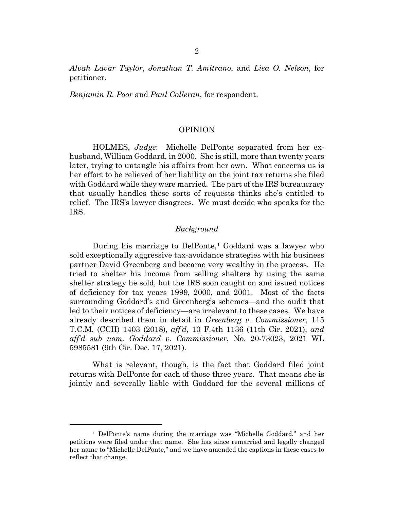*Alvah Lavar Taylor*, *Jonathan T. Amitrano*, and *Lisa O. Nelson*, for petitioner.

*Benjamin R. Poor* and *Paul Colleran*, for respondent.

#### OPINION

HOLMES, *Judge*: Michelle DelPonte separated from her exhusband, William Goddard, in 2000. She is still, more than twenty years later, trying to untangle his affairs from her own. What concerns us is her effort to be relieved of her liability on the joint tax returns she filed with Goddard while they were married. The part of the IRS bureaucracy that usually handles these sorts of requests thinks she's entitled to relief. The IRS's lawyer disagrees. We must decide who speaks for the IRS.

#### *Background*

During his marriage to DelPonte,<sup>[1](#page-1-0)</sup> Goddard was a lawyer who sold exceptionally aggressive tax-avoidance strategies with his business partner David Greenberg and became very wealthy in the process. He tried to shelter his income from selling shelters by using the same shelter strategy he sold, but the IRS soon caught on and issued notices of deficiency for tax years 1999, 2000, and 2001. Most of the facts surrounding Goddard's and Greenberg's schemes—and the audit that led to their notices of deficiency—are irrelevant to these cases. We have already described them in detail in *Greenberg v. Commissioner*, 115 T.C.M. (CCH) 1403 (2018), *aff'd,* 10 F.4th 1136 (11th Cir. 2021), *and aff'd sub nom. Goddard v. Commissioner*, No. 20-73023, 2021 WL 5985581 (9th Cir. Dec. 17, 2021).

What is relevant, though, is the fact that Goddard filed joint returns with DelPonte for each of those three years. That means she is jointly and severally liable with Goddard for the several millions of

<span id="page-1-0"></span><sup>1</sup> DelPonte's name during the marriage was "Michelle Goddard," and her petitions were filed under that name. She has since remarried and legally changed her name to "Michelle DelPonte," and we have amended the captions in these cases to reflect that change.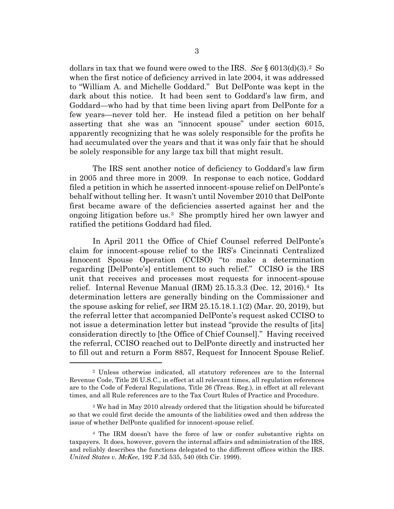dollars in tax that we found were owed to the IRS. *See* § 6013(d)(3).[2](#page-2-0) So when the first notice of deficiency arrived in late 2004, it was addressed to "William A. and Michelle Goddard." But DelPonte was kept in the dark about this notice. It had been sent to Goddard's law firm, and Goddard—who had by that time been living apart from DelPonte for a few years—never told her. He instead filed a petition on her behalf asserting that she was an "innocent spouse" under section 6015, apparently recognizing that he was solely responsible for the profits he had accumulated over the years and that it was only fair that he should be solely responsible for any large tax bill that might result.

The IRS sent another notice of deficiency to Goddard's law firm in 2005 and three more in 2009. In response to each notice, Goddard filed a petition in which he asserted innocent-spouse relief on DelPonte's behalf without telling her. It wasn't until November 2010 that DelPonte first became aware of the deficiencies asserted against her and the ongoing litigation before us.[3](#page-2-1) She promptly hired her own lawyer and ratified the petitions Goddard had filed.

In April 2011 the Office of Chief Counsel referred DelPonte's claim for innocent-spouse relief to the IRS's Cincinnati Centralized Innocent Spouse Operation (CCISO) "to make a determination regarding [DelPonte's] entitlement to such relief." CCISO is the IRS unit that receives and processes most requests for innocent-spouse relief. Internal Revenue Manual (IRM) 25.15.3.3 (Dec. 12, 2016).[4](#page-2-2) Its determination letters are generally binding on the Commissioner and the spouse asking for relief, *see* IRM 25.15.18.1.1(2) (Mar. 20, 2019), but the referral letter that accompanied DelPonte's request asked CCISO to not issue a determination letter but instead "provide the results of [its] consideration directly to [the Office of Chief Counsel]." Having received the referral, CCISO reached out to DelPonte directly and instructed her to fill out and return a Form 8857, Request for Innocent Spouse Relief.

<span id="page-2-0"></span><sup>2</sup> Unless otherwise indicated, all statutory references are to the Internal Revenue Code, Title 26 U.S.C., in effect at all relevant times, all regulation references are to the Code of Federal Regulations, Title 26 (Treas. Reg.), in effect at all relevant times, and all Rule references are to the Tax Court Rules of Practice and Procedure.

<span id="page-2-1"></span><sup>3</sup> We had in May 2010 already ordered that the litigation should be bifurcated so that we could first decide the amounts of the liabilities owed and then address the issue of whether DelPonte qualified for innocent-spouse relief.

<span id="page-2-2"></span><sup>4</sup> The IRM doesn't have the force of law or confer substantive rights on taxpayers. It does, however, govern the internal affairs and administration of the IRS, and reliably describes the functions delegated to the different offices within the IRS. *United States v. McKee*, 192 F.3d 535, 540 (6th Cir. 1999).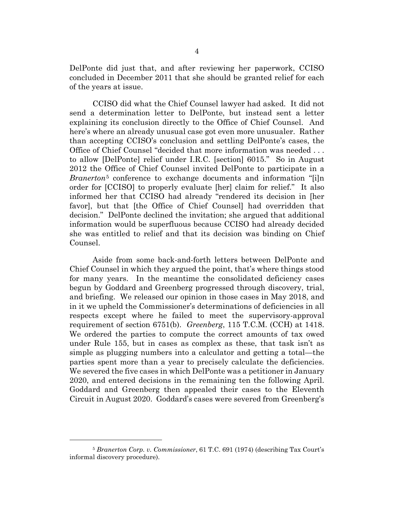DelPonte did just that, and after reviewing her paperwork, CCISO concluded in December 2011 that she should be granted relief for each of the years at issue.

CCISO did what the Chief Counsel lawyer had asked. It did not send a determination letter to DelPonte, but instead sent a letter explaining its conclusion directly to the Office of Chief Counsel. And here's where an already unusual case got even more unusualer. Rather than accepting CCISO's conclusion and settling DelPonte's cases, the Office of Chief Counsel "decided that more information was needed . . . to allow [DelPonte] relief under I.R.C. [section] 6015." So in August 2012 the Office of Chief Counsel invited DelPonte to participate in a *Branerton*[5](#page-3-0) conference to exchange documents and information "[i]n order for [CCISO] to properly evaluate [her] claim for relief." It also informed her that CCISO had already "rendered its decision in [her favor], but that [the Office of Chief Counsel] had overridden that decision." DelPonte declined the invitation; she argued that additional information would be superfluous because CCISO had already decided she was entitled to relief and that its decision was binding on Chief Counsel.

Aside from some back-and-forth letters between DelPonte and Chief Counsel in which they argued the point, that's where things stood for many years. In the meantime the consolidated deficiency cases begun by Goddard and Greenberg progressed through discovery, trial, and briefing. We released our opinion in those cases in May 2018, and in it we upheld the Commissioner's determinations of deficiencies in all respects except where he failed to meet the supervisory-approval requirement of section 6751(b). *Greenberg*, 115 T.C.M. (CCH) at 1418. We ordered the parties to compute the correct amounts of tax owed under Rule 155, but in cases as complex as these, that task isn't as simple as plugging numbers into a calculator and getting a total—the parties spent more than a year to precisely calculate the deficiencies. We severed the five cases in which DelPonte was a petitioner in January 2020, and entered decisions in the remaining ten the following April. Goddard and Greenberg then appealed their cases to the Eleventh Circuit in August 2020. Goddard's cases were severed from Greenberg's

<span id="page-3-0"></span><sup>5</sup> *Branerton Corp. v. Commissioner*, 61 T.C. 691 (1974) (describing Tax Court's informal discovery procedure).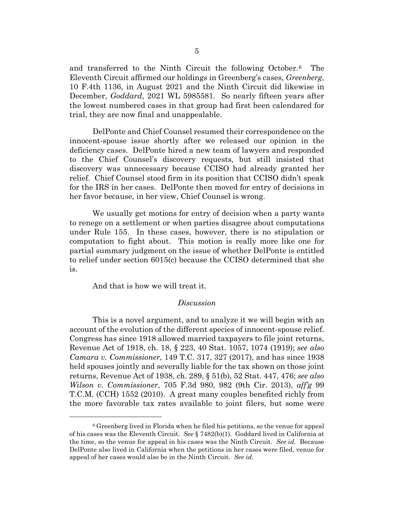and transferred to the Ninth Circuit the following October.[6](#page-4-0) The Eleventh Circuit affirmed our holdings in Greenberg's cases, *Greenberg*, 10 F.4th 1136, in August 2021 and the Ninth Circuit did likewise in December, *Goddard*, 2021 WL 5985581. So nearly fifteen years after the lowest numbered cases in that group had first been calendared for trial, they are now final and unappealable.

DelPonte and Chief Counsel resumed their correspondence on the innocent-spouse issue shortly after we released our opinion in the deficiency cases. DelPonte hired a new team of lawyers and responded to the Chief Counsel's discovery requests, but still insisted that discovery was unnecessary because CCISO had already granted her relief. Chief Counsel stood firm in its position that CCISO didn't speak for the IRS in her cases. DelPonte then moved for entry of decisions in her favor because, in her view, Chief Counsel is wrong.

We usually get motions for entry of decision when a party wants to renege on a settlement or when parties disagree about computations under Rule 155. In these cases, however, there is no stipulation or computation to fight about. This motion is really more like one for partial summary judgment on the issue of whether DelPonte is entitled to relief under section 6015(c) because the CCISO determined that she is.

And that is how we will treat it.

#### *Discussion*

This is a novel argument, and to analyze it we will begin with an account of the evolution of the different species of innocent-spouse relief. Congress has since 1918 allowed married taxpayers to file joint returns, Revenue Act of 1918, ch. 18, § 223, 40 Stat. 1057, 1074 (1919); *see also Camara v. Commissioner*, 149 T.C. 317, 327 (2017), and has since 1938 held spouses jointly and severally liable for the tax shown on those joint returns, Revenue Act of 1938, ch. 289, § 51(b), 52 Stat. 447, 476; *see also Wilson v. Commissioner*, 705 F.3d 980, 982 (9th Cir. 2013), *aff'g* 99 T.C.M. (CCH) 1552 (2010). A great many couples benefited richly from the more favorable tax rates available to joint filers, but some were

<span id="page-4-0"></span><sup>6</sup> Greenberg lived in Florida when he filed his petitions, so the venue for appeal of his cases was the Eleventh Circuit. *See* § 7482(b)(1). Goddard lived in California at the time, so the venue for appeal in his cases was the Ninth Circuit. *See id.* Because DelPonte also lived in California when the petitions in her cases were filed, venue for appeal of her cases would also be in the Ninth Circuit. *See id.*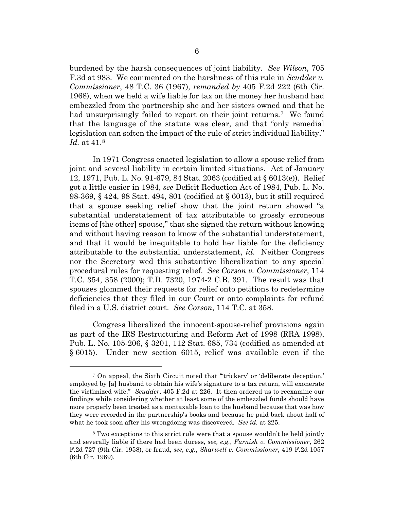burdened by the harsh consequences of joint liability. *See Wilson*, 705 F.3d at 983. We commented on the harshness of this rule in *Scudder v. Commissioner*, 48 T.C. 36 (1967), *remanded by* 405 F.2d 222 (6th Cir. 1968), when we held a wife liable for tax on the money her husband had embezzled from the partnership she and her sisters owned and that he had unsurprisingly failed to report on their joint returns.<sup>7</sup> We found that the language of the statute was clear, and that "only remedial legislation can soften the impact of the rule of strict individual liability." *Id.* at 41.[8](#page-5-1)

In 1971 Congress enacted legislation to allow a spouse relief from joint and several liability in certain limited situations. Act of January 12, 1971, Pub. L. No. 91-679, 84 Stat. 2063 (codified at § 6013(e)). Relief got a little easier in 1984, *see* Deficit Reduction Act of 1984, Pub. L. No. 98-369, § 424, 98 Stat. 494, 801 (codified at § 6013), but it still required that a spouse seeking relief show that the joint return showed "a substantial understatement of tax attributable to grossly erroneous items of [the other] spouse," that she signed the return without knowing and without having reason to know of the substantial understatement, and that it would be inequitable to hold her liable for the deficiency attributable to the substantial understatement, *id.* Neither Congress nor the Secretary wed this substantive liberalization to any special procedural rules for requesting relief. *See Corson v. Commissioner*, 114 T.C. 354, 358 (2000); T.D. 7320, 1974-2 C.B. 391. The result was that spouses glommed their requests for relief onto petitions to redetermine deficiencies that they filed in our Court or onto complaints for refund filed in a U.S. district court. *See Corson*, 114 T.C. at 358.

Congress liberalized the innocent-spouse-relief provisions again as part of the IRS Restructuring and Reform Act of 1998 (RRA 1998), Pub. L. No. 105-206, § 3201, 112 Stat. 685, 734 (codified as amended at § 6015). Under new section 6015, relief was available even if the

<span id="page-5-0"></span><sup>7</sup> On appeal, the Sixth Circuit noted that "'trickery' or 'deliberate deception,' employed by [a] husband to obtain his wife's signature to a tax return, will exonerate the victimized wife." *Scudder*, 405 F.2d at 226. It then ordered us to reexamine our findings while considering whether at least some of the embezzled funds should have more properly been treated as a nontaxable loan to the husband because that was how they were recorded in the partnership's books and because he paid back about half of what he took soon after his wrongdoing was discovered. *See id.* at 225.

<span id="page-5-1"></span><sup>8</sup> Two exceptions to this strict rule were that a spouse wouldn't be held jointly and severally liable if there had been duress, *see, e.g.*, *Furnish v. Commissioner*, 262 F.2d 727 (9th Cir. 1958), or fraud, *see, e.g.*, *Sharwell v. Commissioner*, 419 F.2d 1057 (6th Cir. 1969).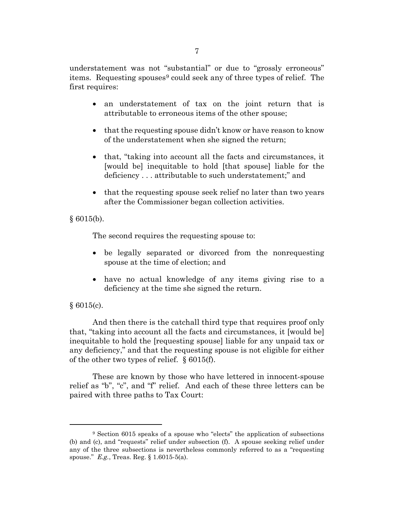understatement was not "substantial" or due to "grossly erroneous" items. Requesting spouses<sup>[9](#page-6-0)</sup> could seek any of three types of relief. The first requires:

- an understatement of tax on the joint return that is attributable to erroneous items of the other spouse;
- that the requesting spouse didn't know or have reason to know of the understatement when she signed the return;
- that, "taking into account all the facts and circumstances, it [would be] inequitable to hold [that spouse] liable for the deficiency . . . attributable to such understatement;" and
- that the requesting spouse seek relief no later than two years after the Commissioner began collection activities.

 $§ 6015(b).$ 

The second requires the requesting spouse to:

- be legally separated or divorced from the nonrequesting spouse at the time of election; and
- have no actual knowledge of any items giving rise to a deficiency at the time she signed the return.

# § 6015(c).

And then there is the catchall third type that requires proof only that, "taking into account all the facts and circumstances, it [would be] inequitable to hold the [requesting spouse] liable for any unpaid tax or any deficiency," and that the requesting spouse is not eligible for either of the other two types of relief. § 6015(f).

These are known by those who have lettered in innocent-spouse relief as "b", "c", and "f" relief. And each of these three letters can be paired with three paths to Tax Court:

<span id="page-6-0"></span><sup>9</sup> Section 6015 speaks of a spouse who "elects" the application of subsections (b) and (c), and "requests" relief under subsection (f). A spouse seeking relief under any of the three subsections is nevertheless commonly referred to as a "requesting spouse." *E.g.*, Treas. Reg. § 1.6015-5(a).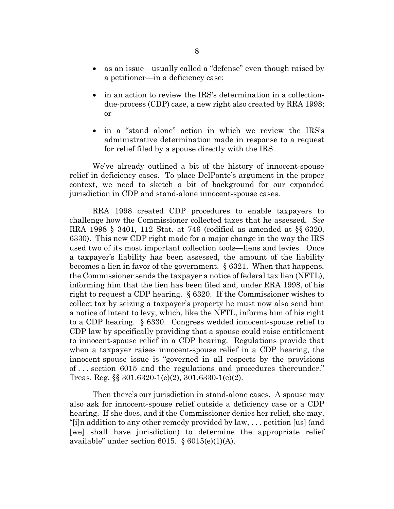- as an issue—usually called a "defense" even though raised by a petitioner—in a deficiency case;
- in an action to review the IRS's determination in a collectiondue-process (CDP) case, a new right also created by RRA 1998; or
- in a "stand alone" action in which we review the IRS's administrative determination made in response to a request for relief filed by a spouse directly with the IRS.

We've already outlined a bit of the history of innocent-spouse relief in deficiency cases. To place DelPonte's argument in the proper context, we need to sketch a bit of background for our expanded jurisdiction in CDP and stand-alone innocent-spouse cases.

RRA 1998 created CDP procedures to enable taxpayers to challenge how the Commissioner collected taxes that he assessed. *See* RRA 1998 § 3401, 112 Stat. at 746 (codified as amended at §§ 6320, 6330). This new CDP right made for a major change in the way the IRS used two of its most important collection tools—liens and levies. Once a taxpayer's liability has been assessed, the amount of the liability becomes a lien in favor of the government. § 6321. When that happens, the Commissioner sends the taxpayer a notice of federal tax lien (NFTL), informing him that the lien has been filed and, under RRA 1998, of his right to request a CDP hearing. § 6320. If the Commissioner wishes to collect tax by seizing a taxpayer's property he must now also send him a notice of intent to levy, which, like the NFTL, informs him of his right to a CDP hearing. § 6330. Congress wedded innocent-spouse relief to CDP law by specifically providing that a spouse could raise entitlement to innocent-spouse relief in a CDP hearing. Regulations provide that when a taxpayer raises innocent-spouse relief in a CDP hearing, the innocent-spouse issue is "governed in all respects by the provisions of . . . section 6015 and the regulations and procedures thereunder." Treas. Reg. §§ 301.6320-1(e)(2), 301.6330-1(e)(2).

Then there's our jurisdiction in stand-alone cases. A spouse may also ask for innocent-spouse relief outside a deficiency case or a CDP hearing. If she does, and if the Commissioner denies her relief, she may, "[i]n addition to any other remedy provided by law, . . . petition [us] (and [we] shall have jurisdiction) to determine the appropriate relief available" under section 6015.  $\S 6015(e)(1)(A)$ .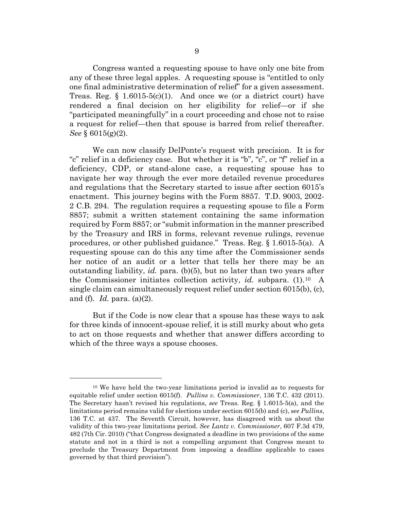Congress wanted a requesting spouse to have only one bite from any of these three legal apples. A requesting spouse is "entitled to only one final administrative determination of relief" for a given assessment. Treas. Reg.  $\S$  1.6015-5(c)(1). And once we (or a district court) have rendered a final decision on her eligibility for relief—or if she "participated meaningfully" in a court proceeding and chose not to raise a request for relief—then that spouse is barred from relief thereafter. *See* § 6015(g)(2).

We can now classify DelPonte's request with precision. It is for "c" relief in a deficiency case. But whether it is "b", "c", or "f" relief in a deficiency, CDP, or stand-alone case, a requesting spouse has to navigate her way through the ever more detailed revenue procedures and regulations that the Secretary started to issue after section 6015's enactment. This journey begins with the Form 8857. T.D. 9003, 2002- 2 C.B. 294. The regulation requires a requesting spouse to file a Form 8857; submit a written statement containing the same information required by Form 8857; or "submit information in the manner prescribed by the Treasury and IRS in forms, relevant revenue rulings, revenue procedures, or other published guidance." Treas. Reg. § 1.6015-5(a). A requesting spouse can do this any time after the Commissioner sends her notice of an audit or a letter that tells her there may be an outstanding liability, *id.* para. (b)(5), but no later than two years after the Commissioner initiates collection activity, *id.* subpara. (1).[10](#page-8-0) A single claim can simultaneously request relief under section 6015(b), (c), and (f). *Id.* para. (a)(2).

But if the Code is now clear that a spouse has these ways to ask for three kinds of innocent-spouse relief, it is still murky about who gets to act on those requests and whether that answer differs according to which of the three ways a spouse chooses.

<span id="page-8-0"></span><sup>10</sup> We have held the two-year limitations period is invalid as to requests for equitable relief under section 6015(f). *Pullins v. Commissioner*, 136 T.C. 432 (2011). The Secretary hasn't revised his regulations, *see* Treas. Reg. § 1.6015-5(a), and the limitations period remains valid for elections under section 6015(b) and (c), *see Pullins*, 136 T.C. at 437. The Seventh Circuit, however, has disagreed with us about the validity of this two-year limitations period. *See Lantz v. Commissioner*, 607 F.3d 479, 482 (7th Cir. 2010) ("that Congress designated a deadline in two provisions of the same statute and not in a third is not a compelling argument that Congress meant to preclude the Treasury Department from imposing a deadline applicable to cases governed by that third provision").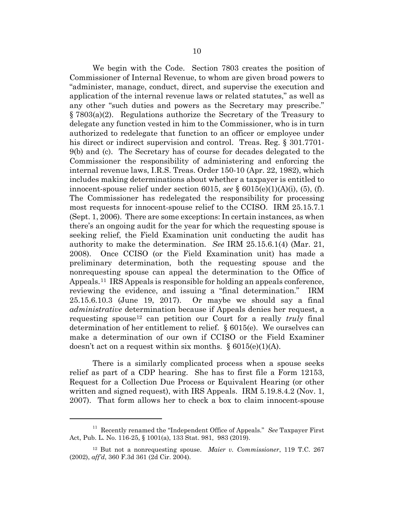We begin with the Code. Section 7803 creates the position of Commissioner of Internal Revenue, to whom are given broad powers to "administer, manage, conduct, direct, and supervise the execution and application of the internal revenue laws or related statutes," as well as any other "such duties and powers as the Secretary may prescribe." § 7803(a)(2). Regulations authorize the Secretary of the Treasury to delegate any function vested in him to the Commissioner, who is in turn authorized to redelegate that function to an officer or employee under his direct or indirect supervision and control. Treas. Reg. § 301.7701- 9(b) and (c). The Secretary has of course for decades delegated to the Commissioner the responsibility of administering and enforcing the internal revenue laws, I.R.S. Treas. Order 150-10 (Apr. 22, 1982), which includes making determinations about whether a taxpayer is entitled to innocent-spouse relief under section 6015, *see*  $\S$  6015(e)(1)(A)(i), (5), (f). The Commissioner has redelegated the responsibility for processing most requests for innocent-spouse relief to the CCISO. IRM 25.15.7.1 (Sept. 1, 2006). There are some exceptions: In certain instances, as when there's an ongoing audit for the year for which the requesting spouse is seeking relief, the Field Examination unit conducting the audit has authority to make the determination. *See* IRM 25.15.6.1(4) (Mar. 21, 2008). Once CCISO (or the Field Examination unit) has made a preliminary determination, both the requesting spouse and the nonrequesting spouse can appeal the determination to the Office of Appeals.[11](#page-9-0) IRS Appeals is responsible for holding an appeals conference, reviewing the evidence, and issuing a "final determination." IRM 25.15.6.10.3 (June 19, 2017). Or maybe we should say a final *administrative* determination because if Appeals denies her request, a requesting spouse[12](#page-9-1) can petition our Court for a really *truly* final determination of her entitlement to relief. § 6015(e). We ourselves can make a determination of our own if CCISO or the Field Examiner doesn't act on a request within six months.  $\S 6015(e)(1)(A)$ .

There is a similarly complicated process when a spouse seeks relief as part of a CDP hearing. She has to first file a Form 12153, Request for a Collection Due Process or Equivalent Hearing (or other written and signed request), with IRS Appeals. IRM 5.19.8.4.2 (Nov. 1, 2007). That form allows her to check a box to claim innocent-spouse

<span id="page-9-0"></span><sup>&</sup>lt;sup>11</sup> Recently renamed the "Independent Office of Appeals." *See* Taxpayer First Act, Pub. L. No. 116-25, § 1001(a), 133 Stat. 981, 983 (2019).

<span id="page-9-1"></span><sup>12</sup> But not a nonrequesting spouse. *Maier v. Commissioner*, 119 T.C. 267 (2002), *aff'd*, 360 F.3d 361 (2d Cir. 2004).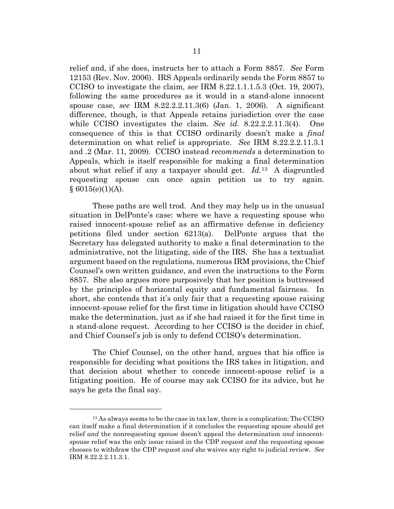relief and, if she does, instructs her to attach a Form 8857. *See* Form 12153 (Rev. Nov. 2006). IRS Appeals ordinarily sends the Form 8857 to CCISO to investigate the claim, *see* IRM 8.22.1.1.1.5.3 (Oct. 19, 2007), following the same procedures as it would in a stand-alone innocent spouse case, *see* IRM 8.22.2.2.11.3(6) (Jan. 1, 2006). A significant difference, though, is that Appeals retains jurisdiction over the case while CCISO investigates the claim. *See id.* 8.22.2.2.11.3(4). One consequence of this is that CCISO ordinarily doesn't make a *final* determination on what relief is appropriate. *See* IRM 8.22.2.2.11.3.1 and .2 (Mar. 11, 2009). CCISO instead *recommends* a determination to Appeals, which is itself responsible for making a final determination about what relief if any a taxpayer should get. *Id.*[13](#page-10-0)A disgruntled requesting spouse can once again petition us to try again.  $§ 6015(e)(1)(A).$ 

These paths are well trod. And they may help us in the unusual situation in DelPonte's case: where we have a requesting spouse who raised innocent-spouse relief as an affirmative defense in deficiency petitions filed under section 6213(a). DelPonte argues that the Secretary has delegated authority to make a final determination to the administrative, not the litigating, side of the IRS. She has a textualist argument based on the regulations, numerous IRM provisions, the Chief Counsel's own written guidance, and even the instructions to the Form 8857. She also argues more purposively that her position is buttressed by the principles of horizontal equity and fundamental fairness. In short, she contends that it's only fair that a requesting spouse raising innocent-spouse relief for the first time in litigation should have CCISO make the determination, just as if she had raised it for the first time in a stand-alone request. According to her CCISO is the decider in chief, and Chief Counsel's job is only to defend CCISO's determination.

The Chief Counsel, on the other hand, argues that his office is responsible for deciding what positions the IRS takes in litigation, and that decision about whether to concede innocent-spouse relief is a litigating position. He of course may ask CCISO for its advice, but he says he gets the final say.

<span id="page-10-0"></span><sup>&</sup>lt;sup>13</sup> As always seems to be the case in tax law, there is a complication: The CCISO can itself make a final determination if it concludes the requesting spouse should get relief *and* the nonrequesting spouse doesn't appeal the determination *and* innocentspouse relief was the only issue raised in the CDP request *and* the requesting spouse chooses to withdraw the CDP request *and* she waives any right to judicial review. *See* IRM 8.22.2.2.11.3.1.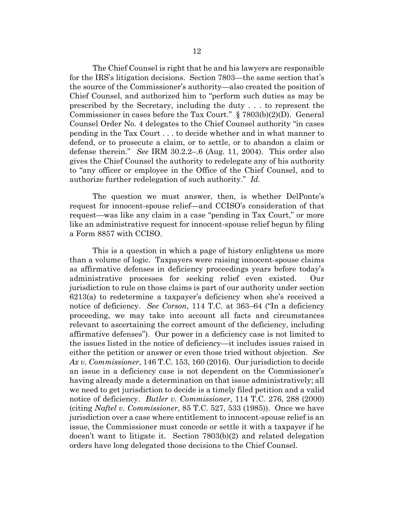The Chief Counsel is right that he and his lawyers are responsible for the IRS's litigation decisions. Section 7803—the same section that's the source of the Commissioner's authority—also created the position of Chief Counsel, and authorized him to "perform such duties as may be prescribed by the Secretary, including the duty . . . to represent the Commissioner in cases before the Tax Court." § 7803(b)(2)(D). General Counsel Order No. 4 delegates to the Chief Counsel authority "in cases pending in the Tax Court . . . to decide whether and in what manner to defend, or to prosecute a claim, or to settle, or to abandon a claim or defense therein." *See* IRM 30.2.2–.6 (Aug. 11, 2004). This order also gives the Chief Counsel the authority to redelegate any of his authority to "any officer or employee in the Office of the Chief Counsel, and to authorize further redelegation of such authority." *Id.*

The question we must answer, then, is whether DelPonte's request for innocent-spouse relief—and CCISO's consideration of that request—was like any claim in a case "pending in Tax Court," or more like an administrative request for innocent-spouse relief begun by filing a Form 8857 with CCISO.

This is a question in which a page of history enlightens us more than a volume of logic. Taxpayers were raising innocent-spouse claims as affirmative defenses in deficiency proceedings years before today's administrative processes for seeking relief even existed. Our jurisdiction to rule on those claims is part of our authority under section 6213(a) to redetermine a taxpayer's deficiency when she's received a notice of deficiency. *See Corson*, 114 T.C. at 363–64 ("In a deficiency proceeding, we may take into account all facts and circumstances relevant to ascertaining the correct amount of the deficiency, including affirmative defenses"). Our power in a deficiency case is not limited to the issues listed in the notice of deficiency—it includes issues raised in either the petition or answer or even those tried without objection. *See Ax v. Commissioner*, 146 T.C. 153, 160 (2016). Our jurisdiction to decide an issue in a deficiency case is not dependent on the Commissioner's having already made a determination on that issue administratively; all we need to get jurisdiction to decide is a timely filed petition and a valid notice of deficiency. *Butler v. Commissioner*, 114 T.C. 276, 288 (2000) (citing *Naftel v. Commissioner*, 85 T.C. 527, 533 (1985)). Once we have jurisdiction over a case where entitlement to innocent-spouse relief is an issue, the Commissioner must concede or settle it with a taxpayer if he doesn't want to litigate it. Section 7803(b)(2) and related delegation orders have long delegated those decisions to the Chief Counsel.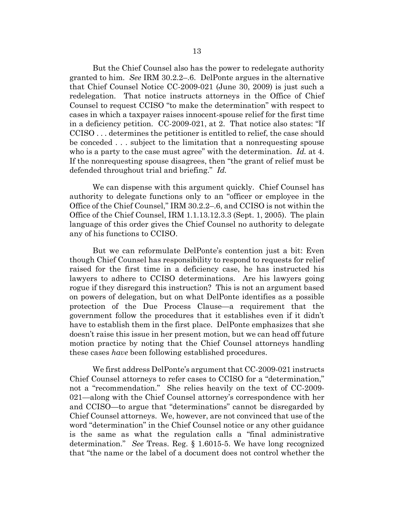But the Chief Counsel also has the power to redelegate authority granted to him. *See* IRM 30.2.2–.6. DelPonte argues in the alternative that Chief Counsel Notice CC-2009-021 (June 30, 2009) is just such a redelegation. That notice instructs attorneys in the Office of Chief Counsel to request CCISO "to make the determination" with respect to cases in which a taxpayer raises innocent-spouse relief for the first time in a deficiency petition. CC-2009-021, at 2. That notice also states: "If CCISO . . . determines the petitioner is entitled to relief, the case should be conceded . . . subject to the limitation that a nonrequesting spouse who is a party to the case must agree" with the determination. *Id.* at 4. If the nonrequesting spouse disagrees, then "the grant of relief must be defended throughout trial and briefing." *Id.*

We can dispense with this argument quickly. Chief Counsel has authority to delegate functions only to an "officer or employee in the Office of the Chief Counsel," IRM 30.2.2–.6, and CCISO is not within the Office of the Chief Counsel, IRM 1.1.13.12.3.3 (Sept. 1, 2005). The plain language of this order gives the Chief Counsel no authority to delegate any of his functions to CCISO.

But we can reformulate DelPonte's contention just a bit: Even though Chief Counsel has responsibility to respond to requests for relief raised for the first time in a deficiency case, he has instructed his lawyers to adhere to CCISO determinations. Are his lawyers going rogue if they disregard this instruction? This is not an argument based on powers of delegation, but on what DelPonte identifies as a possible protection of the Due Process Clause—a requirement that the government follow the procedures that it establishes even if it didn't have to establish them in the first place. DelPonte emphasizes that she doesn't raise this issue in her present motion, but we can head off future motion practice by noting that the Chief Counsel attorneys handling these cases *have* been following established procedures.

We first address DelPonte's argument that CC-2009-021 instructs Chief Counsel attorneys to refer cases to CCISO for a "determination," not a "recommendation." She relies heavily on the text of CC-2009- 021—along with the Chief Counsel attorney's correspondence with her and CCISO—to argue that "determinations" cannot be disregarded by Chief Counsel attorneys. We, however, are not convinced that use of the word "determination" in the Chief Counsel notice or any other guidance is the same as what the regulation calls a "final administrative determination." *See* Treas. Reg. § 1.6015-5. We have long recognized that "the name or the label of a document does not control whether the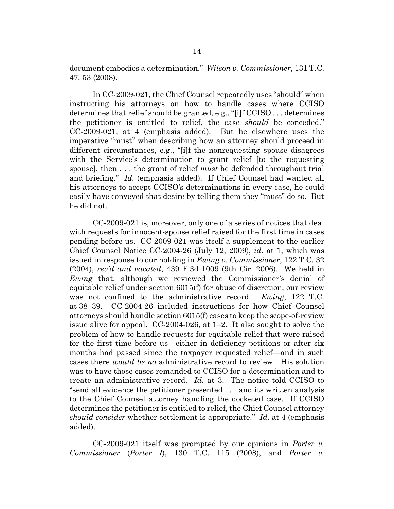document embodies a determination." *Wilson v. Commissioner*, 131 T.C. 47, 53 (2008).

In CC-2009-021, the Chief Counsel repeatedly uses "should" when instructing his attorneys on how to handle cases where CCISO determines that relief should be granted, e.g., "[i]f CCISO . . . determines the petitioner is entitled to relief, the case *should* be conceded." CC-2009-021, at 4 (emphasis added). But he elsewhere uses the imperative "must" when describing how an attorney should proceed in different circumstances, e.g., "[i]f the nonrequesting spouse disagrees with the Service's determination to grant relief [to the requesting spouse], then . . . the grant of relief *must* be defended throughout trial and briefing." *Id.* (emphasis added). If Chief Counsel had wanted all his attorneys to accept CCISO's determinations in every case, he could easily have conveyed that desire by telling them they "must" do so. But he did not.

CC-2009-021 is, moreover, only one of a series of notices that deal with requests for innocent-spouse relief raised for the first time in cases pending before us. CC-2009-021 was itself a supplement to the earlier Chief Counsel Notice CC-2004-26 (July 12, 2009), *id.* at 1, which was issued in response to our holding in *Ewing v. Commissioner*, 122 T.C. 32 (2004), *rev'd and vacated*, 439 F.3d 1009 (9th Cir. 2006). We held in *Ewing* that, although we reviewed the Commissioner's denial of equitable relief under section 6015(f) for abuse of discretion, our review was not confined to the administrative record. *Ewing*, 122 T.C. at 38–39. CC-2004-26 included instructions for how Chief Counsel attorneys should handle section 6015(f) cases to keep the scope-of-review issue alive for appeal. CC-2004-026, at 1–2. It also sought to solve the problem of how to handle requests for equitable relief that were raised for the first time before us—either in deficiency petitions or after six months had passed since the taxpayer requested relief—and in such cases there *would be no* administrative record to review. His solution was to have those cases remanded to CCISO for a determination and to create an administrative record. *Id.* at 3. The notice told CCISO to "send all evidence the petitioner presented . . . and its written analysis to the Chief Counsel attorney handling the docketed case. If CCISO determines the petitioner is entitled to relief, the Chief Counsel attorney *should consider* whether settlement is appropriate." *Id.* at 4 (emphasis added).

CC-2009-021 itself was prompted by our opinions in *Porter v. Commissioner* (*Porter I*), 130 T.C. 115 (2008), and *Porter v.*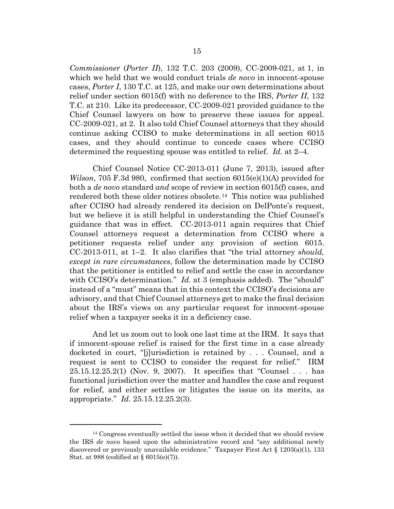*Commissioner* (*Porter II*), 132 T.C. 203 (2009), CC-2009-021, at 1, in which we held that we would conduct trials *de novo* in innocent-spouse cases, *Porter I*, 130 T.C. at 125, and make our own determinations about relief under section 6015(f) with no deference to the IRS, *Porter II*, 132 T.C. at 210. Like its predecessor, CC-2009-021 provided guidance to the Chief Counsel lawyers on how to preserve these issues for appeal. CC-2009-021, at 2. It also told Chief Counsel attorneys that they should continue asking CCISO to make determinations in all section 6015 cases, and they should continue to concede cases where CCISO determined the requesting spouse was entitled to relief. *Id.* at 2–4.

Chief Counsel Notice CC-2013-011 (June 7, 2013), issued after *Wilson*, 705 F.3d 980, confirmed that section 6015(e)(1)(A) provided for both a *de novo* standard *and* scope of review in section 6015(f) cases, and rendered both these older notices obsolete[.14](#page-14-0) This notice was published after CCISO had already rendered its decision on DelPonte's request, but we believe it is still helpful in understanding the Chief Counsel's guidance that was in effect. CC-2013-011 again requires that Chief Counsel attorneys request a determination from CCISO where a petitioner requests relief under any provision of section 6015. CC-2013-011, at 1–2. It also clarifies that "the trial attorney *should, except in rare circumstances*, follow the determination made by CCISO that the petitioner is entitled to relief and settle the case in accordance with CCISO's determination." *Id.* at 3 (emphasis added). The "should" instead of a "must" means that in this context the CCISO's decisions are advisory, and that Chief Counsel attorneys get to make the final decision about the IRS's views on any particular request for innocent-spouse relief when a taxpayer seeks it in a deficiency case.

And let us zoom out to look one last time at the IRM. It says that if innocent-spouse relief is raised for the first time in a case already docketed in court, "[j]urisdiction is retained by . . . Counsel, and a request is sent to CCISO to consider the request for relief." IRM 25.15.12.25.2(1) (Nov. 9, 2007). It specifies that "Counsel . . . has functional jurisdiction over the matter and handles the case and request for relief, and either settles or litigates the issue on its merits, as appropriate." *Id.* 25.15.12.25.2(3).

<span id="page-14-0"></span><sup>&</sup>lt;sup>14</sup> Congress eventually settled the issue when it decided that we should review the IRS *de novo* based upon the administrative record and "any additional newly discovered or previously unavailable evidence." Taxpayer First Act § 1203(a)(1), 133 Stat. at 988 (codified at § 6015(e)(7)).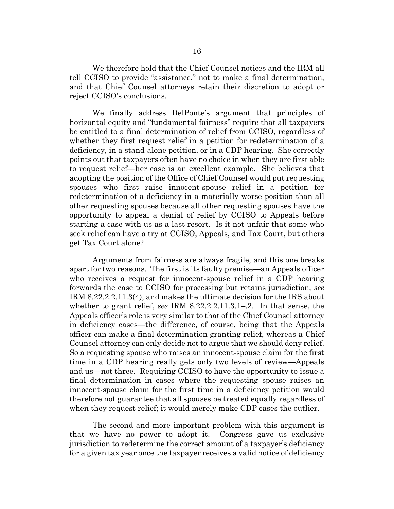We therefore hold that the Chief Counsel notices and the IRM all tell CCISO to provide "assistance," not to make a final determination, and that Chief Counsel attorneys retain their discretion to adopt or reject CCISO's conclusions.

We finally address DelPonte's argument that principles of horizontal equity and "fundamental fairness" require that all taxpayers be entitled to a final determination of relief from CCISO, regardless of whether they first request relief in a petition for redetermination of a deficiency, in a stand-alone petition, or in a CDP hearing. She correctly points out that taxpayers often have no choice in when they are first able to request relief—her case is an excellent example. She believes that adopting the position of the Office of Chief Counsel would put requesting spouses who first raise innocent-spouse relief in a petition for redetermination of a deficiency in a materially worse position than all other requesting spouses because all other requesting spouses have the opportunity to appeal a denial of relief by CCISO to Appeals before starting a case with us as a last resort. Is it not unfair that some who seek relief can have a try at CCISO, Appeals, and Tax Court, but others get Tax Court alone?

Arguments from fairness are always fragile, and this one breaks apart for two reasons. The first is its faulty premise—an Appeals officer who receives a request for innocent-spouse relief in a CDP hearing forwards the case to CCISO for processing but retains jurisdiction, *see* IRM 8.22.2.2.11.3(4), and makes the ultimate decision for the IRS about whether to grant relief, *see* IRM 8.22.2.2.11.3.1–.2. In that sense, the Appeals officer's role is very similar to that of the Chief Counsel attorney in deficiency cases—the difference, of course, being that the Appeals officer can make a final determination granting relief, whereas a Chief Counsel attorney can only decide not to argue that we should deny relief. So a requesting spouse who raises an innocent-spouse claim for the first time in a CDP hearing really gets only two levels of review—Appeals and us—not three. Requiring CCISO to have the opportunity to issue a final determination in cases where the requesting spouse raises an innocent-spouse claim for the first time in a deficiency petition would therefore not guarantee that all spouses be treated equally regardless of when they request relief; it would merely make CDP cases the outlier.

The second and more important problem with this argument is that we have no power to adopt it. Congress gave us exclusive jurisdiction to redetermine the correct amount of a taxpayer's deficiency for a given tax year once the taxpayer receives a valid notice of deficiency